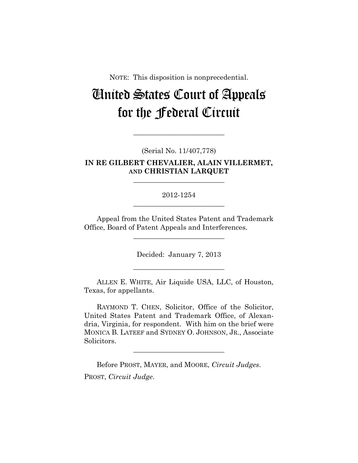NOTE: This disposition is nonprecedential.

# United States Court of Appeals for the Federal Circuit

#### (Serial No. 11/407,778)

**\_\_\_\_\_\_\_\_\_\_\_\_\_\_\_\_\_\_\_\_\_\_\_\_\_\_** 

## **IN RE GILBERT CHEVALIER, ALAIN VILLERMET, AND CHRISTIAN LARQUET**

**\_\_\_\_\_\_\_\_\_\_\_\_\_\_\_\_\_\_\_\_\_\_\_\_\_\_** 

## 2012-1254 **\_\_\_\_\_\_\_\_\_\_\_\_\_\_\_\_\_\_\_\_\_\_\_\_\_\_**

Appeal from the United States Patent and Trademark Office, Board of Patent Appeals and Interferences.

**\_\_\_\_\_\_\_\_\_\_\_\_\_\_\_\_\_\_\_\_\_\_\_\_\_\_** 

Decided: January 7, 2013

**\_\_\_\_\_\_\_\_\_\_\_\_\_\_\_\_\_\_\_\_\_\_\_\_\_\_** 

ALLEN E. WHITE, Air Liquide USA, LLC, of Houston, Texas, for appellants.

RAYMOND T. CHEN, Solicitor, Office of the Solicitor, United States Patent and Trademark Office, of Alexandria, Virginia, for respondent. With him on the brief were MONICA B. LATEEF and SYDNEY O. JOHNSON, JR., Associate Solicitors.

**\_\_\_\_\_\_\_\_\_\_\_\_\_\_\_\_\_\_\_\_\_\_\_\_\_\_** 

Before PROST, MAYER, and MOORE, *Circuit Judges*. PROST, *Circuit Judge*.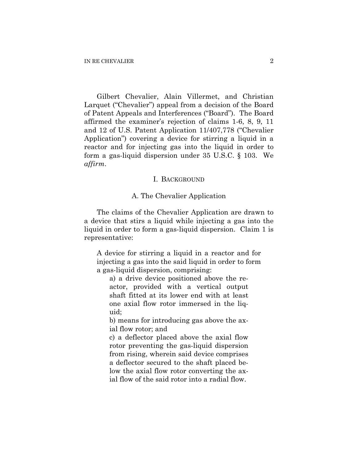Gilbert Chevalier, Alain Villermet, and Christian Larquet ("Chevalier") appeal from a decision of the Board of Patent Appeals and Interferences ("Board"). The Board affirmed the examiner's rejection of claims 1-6, 8, 9, 11 and 12 of U.S. Patent Application 11/407,778 ("Chevalier Application") covering a device for stirring a liquid in a reactor and for injecting gas into the liquid in order to form a gas-liquid dispersion under 35 U.S.C. § 103. We *affirm*.

#### I. BACKGROUND

#### A. The Chevalier Application

The claims of the Chevalier Application are drawn to a device that stirs a liquid while injecting a gas into the liquid in order to form a gas-liquid dispersion. Claim 1 is representative:

A device for stirring a liquid in a reactor and for injecting a gas into the said liquid in order to form a gas-liquid dispersion, comprising:

a) a drive device positioned above the reactor, provided with a vertical output shaft fitted at its lower end with at least one axial flow rotor immersed in the liquid;

b) means for introducing gas above the axial flow rotor; and

c) a deflector placed above the axial flow rotor preventing the gas-liquid dispersion from rising, wherein said device comprises a deflector secured to the shaft placed below the axial flow rotor converting the axial flow of the said rotor into a radial flow.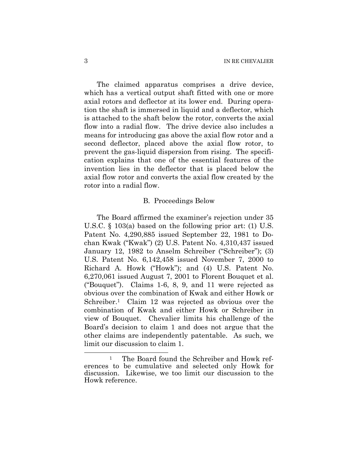The claimed apparatus comprises a drive device, which has a vertical output shaft fitted with one or more axial rotors and deflector at its lower end. During operation the shaft is immersed in liquid and a deflector, which is attached to the shaft below the rotor, converts the axial flow into a radial flow. The drive device also includes a means for introducing gas above the axial flow rotor and a second deflector, placed above the axial flow rotor, to prevent the gas-liquid dispersion from rising. The specification explains that one of the essential features of the invention lies in the deflector that is placed below the axial flow rotor and converts the axial flow created by the rotor into a radial flow.

#### B. Proceedings Below

The Board affirmed the examiner's rejection under 35 U.S.C. § 103(a) based on the following prior art: (1) U.S. Patent No. 4,290,885 issued September 22, 1981 to Dochan Kwak ("Kwak") (2) U.S. Patent No. 4,310,437 issued January 12, 1982 to Anselm Schreiber ("Schreiber"); (3) U.S. Patent No. 6,142,458 issued November 7, 2000 to Richard A. Howk ("Howk"); and (4) U.S. Patent No. 6,270,061 issued August 7, 2001 to Florent Bouquet et al. ("Bouquet"). Claims 1-6, 8, 9, and 11 were rejected as obvious over the combination of Kwak and either Howk or Schreiber.<sup>1</sup> Claim 12 was rejected as obvious over the combination of Kwak and either Howk or Schreiber in view of Bouquet. Chevalier limits his challenge of the Board's decision to claim 1 and does not argue that the other claims are independently patentable. As such, we limit our discussion to claim 1.

 $\overline{a}$ 

<sup>&</sup>lt;sup>1</sup> The Board found the Schreiber and Howk references to be cumulative and selected only Howk for discussion. Likewise, we too limit our discussion to the Howk reference.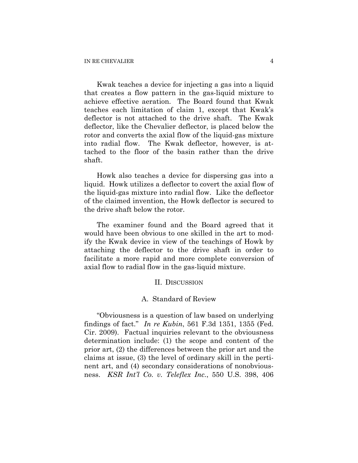Kwak teaches a device for injecting a gas into a liquid that creates a flow pattern in the gas-liquid mixture to achieve effective aeration. The Board found that Kwak teaches each limitation of claim 1, except that Kwak's deflector is not attached to the drive shaft. The Kwak deflector, like the Chevalier deflector, is placed below the rotor and converts the axial flow of the liquid-gas mixture into radial flow. The Kwak deflector, however, is attached to the floor of the basin rather than the drive shaft.

Howk also teaches a device for dispersing gas into a liquid. Howk utilizes a deflector to covert the axial flow of the liquid-gas mixture into radial flow. Like the deflector of the claimed invention, the Howk deflector is secured to the drive shaft below the rotor.

The examiner found and the Board agreed that it would have been obvious to one skilled in the art to modify the Kwak device in view of the teachings of Howk by attaching the deflector to the drive shaft in order to facilitate a more rapid and more complete conversion of axial flow to radial flow in the gas-liquid mixture.

#### II. DISCUSSION

### A. Standard of Review

"Obviousness is a question of law based on underlying findings of fact." *In re Kubin*, 561 F.3d 1351, 1355 (Fed. Cir. 2009). Factual inquiries relevant to the obviousness determination include: (1) the scope and content of the prior art, (2) the differences between the prior art and the claims at issue, (3) the level of ordinary skill in the pertinent art, and (4) secondary considerations of nonobviousness. *KSR Int'l Co. v. Teleflex Inc.*, 550 U.S. 398, 406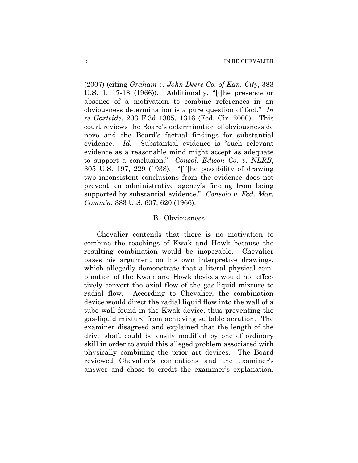(2007) (citing *Graham v. John Deere Co. of Kan. City*, 383 U.S. 1, 17-18 (1966)). Additionally, "[t]he presence or absence of a motivation to combine references in an obviousness determination is a pure question of fact." *In re Gartside*, 203 F.3d 1305, 1316 (Fed. Cir. 2000). This court reviews the Board's determination of obviousness de novo and the Board's factual findings for substantial evidence. *Id.* Substantial evidence is "such relevant evidence as a reasonable mind might accept as adequate to support a conclusion." *Consol. Edison Co. v. NLRB*, 305 U.S. 197, 229 (1938). "[T]he possibility of drawing two inconsistent conclusions from the evidence does not prevent an administrative agency's finding from being supported by substantial evidence." *Consolo v. Fed. Mar. Comm'n*, 383 U.S. 607, 620 (1966).

#### B. Obviousness

Chevalier contends that there is no motivation to combine the teachings of Kwak and Howk because the resulting combination would be inoperable. Chevalier bases his argument on his own interpretive drawings, which allegedly demonstrate that a literal physical combination of the Kwak and Howk devices would not effectively convert the axial flow of the gas-liquid mixture to radial flow. According to Chevalier, the combination device would direct the radial liquid flow into the wall of a tube wall found in the Kwak device, thus preventing the gas-liquid mixture from achieving suitable aeration. The examiner disagreed and explained that the length of the drive shaft could be easily modified by one of ordinary skill in order to avoid this alleged problem associated with physically combining the prior art devices. The Board reviewed Chevalier's contentions and the examiner's answer and chose to credit the examiner's explanation.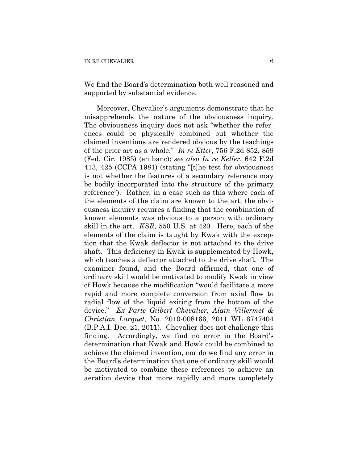We find the Board's determination both well reasoned and supported by substantial evidence.

Moreover, Chevalier's arguments demonstrate that he misapprehends the nature of the obviousness inquiry. The obviousness inquiry does not ask "whether the references could be physically combined but whether the claimed inventions are rendered obvious by the teachings of the prior art as a whole." *In re Etter*, 756 F.2d 852, 859 (Fed. Cir. 1985) (en banc); *see also In re Keller*, 642 F.2d 413, 425 (CCPA 1981) (stating "[t]he test for obviousness is not whether the features of a secondary reference may be bodily incorporated into the structure of the primary reference"). Rather, in a case such as this where each of the elements of the claim are known to the art, the obviousness inquiry requires a finding that the combination of known elements was obvious to a person with ordinary skill in the art. *KSR*, 550 U.S. at 420. Here, each of the elements of the claim is taught by Kwak with the exception that the Kwak deflector is not attached to the drive shaft. This deficiency in Kwak is supplemented by Howk, which teaches a deflector attached to the drive shaft. The examiner found, and the Board affirmed, that one of ordinary skill would be motivated to modify Kwak in view of Howk because the modification "would facilitate a more rapid and more complete conversion from axial flow to radial flow of the liquid exiting from the bottom of the device." *Ex Parte Gilbert Chevalier, Alain Villermet & Christian Larquet*, No. 2010-008166, 2011 WL 6747404 (B.P.A.I. Dec. 21, 2011). Chevalier does not challenge this finding. Accordingly, we find no error in the Board's determination that Kwak and Howk could be combined to achieve the claimed invention, nor do we find any error in the Board's determination that one of ordinary skill would be motivated to combine these references to achieve an aeration device that more rapidly and more completely